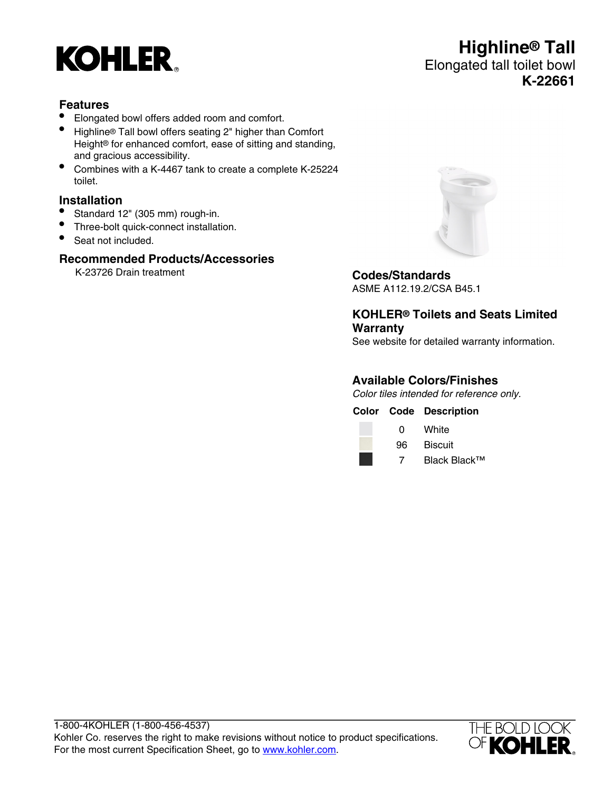

# **Highline® Tall** Elongated tall toilet bowl **K-22661**

### **Features**

- Elongated bowl offers added room and comfort.
- Highline® Tall bowl offers seating 2" higher than Comfort Height® for enhanced comfort, ease of sitting and standing, and gracious accessibility.
- Combines with a K-4467 tank to create a complete K-25224 toilet.

### **Installation**

- Standard 12" (305 mm) rough-in.
- Three-bolt quick-connect installation.
- Seat not included.

## **Recommended Products/Accessories**

K-23726 Drain treatment **Codes/Standards**



ASME A112.19.2/CSA B45.1

**KOHLER® Toilets and Seats Limited Warranty**

See website for detailed warranty information.

### **Available Colors/Finishes**

Color tiles intended for reference only.

**Color Code Description**



0 White



7 Black Black™